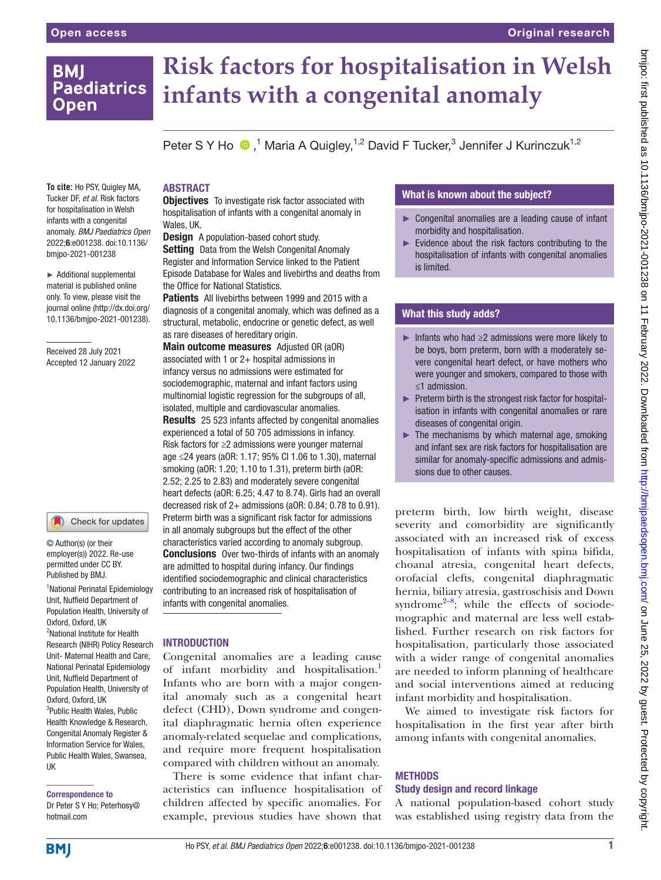# **BMI Paediatrics Open**

**To cite:** Ho PSY, Quigley MA, Tucker DF, *et al*. Risk factors for hospitalisation in Welsh infants with a congenital anomaly. *BMJ Paediatrics Open* 2022;6:e001238. doi:10.1136/ bmjpo-2021-001238

► Additional supplemental material is published online only. To view, please visit the journal online ([http://dx.doi.org/](http://dx.doi.org/10.1136/bmjpo-2021-001238) [10.1136/bmjpo-2021-001238\)](http://dx.doi.org/10.1136/bmjpo-2021-001238).

Received 28 July 2021 Accepted 12 January 2022

# **Risk factors for hospitalisation in Welsh infants with a congenital anomaly**

Peter S Y Ho  $\bigcirc$ ,<sup>1</sup> Maria A Quigley,<sup>1,2</sup> David F Tucker,<sup>3</sup> Jennifer J Kurinczuk<sup>1,2</sup>

### ABSTRACT

**Objectives** To investigate risk factor associated with hospitalisation of infants with a congenital anomaly in Wales, UK.

**Design** A population-based cohort study. **Setting** Data from the Welsh Congenital Anomaly Register and Information Service linked to the Patient Episode Database for Wales and livebirths and deaths from the Office for National Statistics.

Patients All livebirths between 1999 and 2015 with a diagnosis of a congenital anomaly, which was defined as a structural, metabolic, endocrine or genetic defect, as well as rare diseases of hereditary origin.

Main outcome measures Adjusted OR (aOR) associated with 1 or  $2+$  hospital admissions in infancy versus no admissions were estimated for sociodemographic, maternal and infant factors using multinomial logistic regression for the subgroups of all. isolated, multiple and cardiovascular anomalies. Results 25 523 infants affected by congenital anomalies experienced a total of 50 705 admissions in infancy. Risk factors for ≥2 admissions were younger maternal age ≤24 years (aOR: 1.17; 95% CI 1.06 to 1.30), maternal smoking (aOR: 1.20; 1.10 to 1.31), preterm birth (aOR: 2.52; 2.25 to 2.83) and moderately severe congenital heart defects (aOR: 6.25; 4.47 to 8.74). Girls had an overall decreased risk of 2+ admissions (aOR: 0.84; 0.78 to 0.91). Preterm birth was a significant risk factor for admissions in all anomaly subgroups but the effect of the other characteristics varied according to anomaly subgroup. **Conclusions** Over two-thirds of infants with an anomaly are admitted to hospital during infancy. Our findings identified sociodemographic and clinical characteristics contributing to an increased risk of hospitalisation of infants with congenital anomalies.

#### **INTRODUCTION**

Congenital anomalies are a leading cause of infant morbidity and hospitalisation.<sup>1</sup> Infants who are born with a major congenital anomaly such as a congenital heart defect (CHD), Down syndrome and congenital diaphragmatic hernia often experience anomaly-related sequelae and complications, and require more frequent hospitalisation compared with children without an anomaly.

There is some evidence that infant characteristics can influence hospitalisation of children affected by specific anomalies. For example, previous studies have shown that

# What is known about the subject?

- ► Congenital anomalies are a leading cause of infant morbidity and hospitalisation.
- ► Evidence about the risk factors contributing to the hospitalisation of infants with congenital anomalies is limited.

# What this study adds?

- $\blacktriangleright$  Infants who had  $\geq 2$  admissions were more likely to be boys, born preterm, born with a moderately severe congenital heart defect, or have mothers who were younger and smokers, compared to those with ≤1 admission.
- ► Preterm birth is the strongest risk factor for hospitalisation in infants with congenital anomalies or rare diseases of congenital origin.
- ► The mechanisms by which maternal age, smoking and infant sex are risk factors for hospitalisation are similar for anomaly-specific admissions and admissions due to other causes.

preterm birth, low birth weight, disease severity and comorbidity are significantly associated with an increased risk of excess hospitalisation of infants with spina bifida, choanal atresia, congenital heart defects, orofacial clefts, congenital diaphragmatic hernia, biliary atresia, gastroschisis and Down syndrome $2-8$ ; while the effects of sociodemographic and maternal are less well established. Further research on risk factors for hospitalisation, particularly those associated with a wider range of congenital anomalies are needed to inform planning of healthcare and social interventions aimed at reducing infant morbidity and hospitalisation.

We aimed to investigate risk factors for hospitalisation in the first year after birth among infants with congenital anomalies.

# **METHODS**

# Study design and record linkage

A national population-based cohort study was established using registry data from the

# Unit, Nuffield Department of

© Author(s) (or their employer(s)) 2022. Re-use permitted under CC BY. Published by BMJ.

1 National Perinatal Epidemiology

Check for updates

Population Health, University of Oxford, Oxford, UK <sup>2</sup>National Institute for Health Research (NIHR) Policy Research Unit- Maternal Health and Care, National Perinatal Epidemiology Unit, Nuffield Department of Population Health, University of Oxford, Oxford, UK <sup>3</sup>Public Health Wales, Public Health Knowledge & Research, Congenital Anomaly Register & Information Service for Wales, Public Health Wales, Swansea, UK

#### Correspondence to

Dr Peter S Y Ho; Peterhosy@ hotmail.com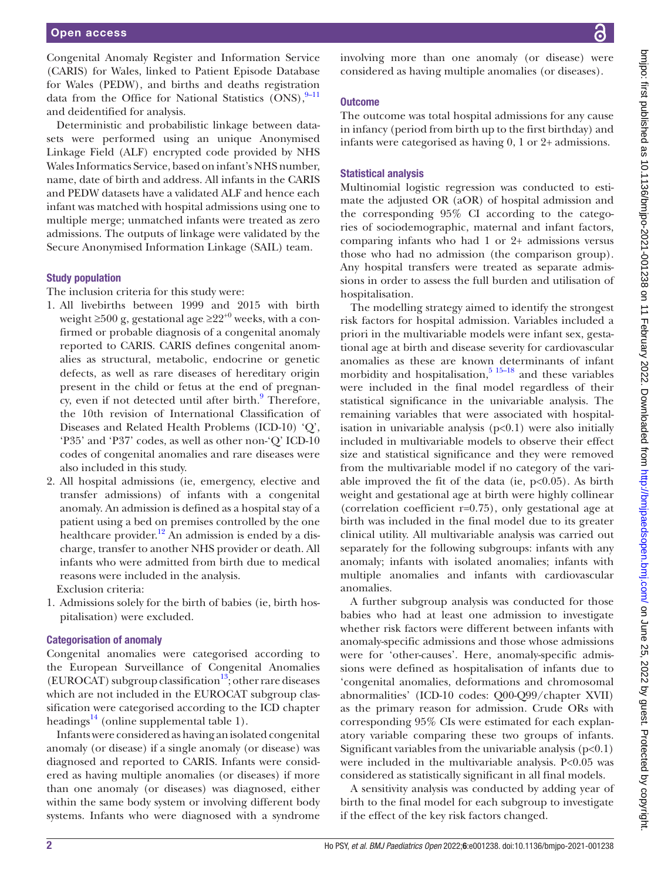Congenital Anomaly Register and Information Service (CARIS) for Wales, linked to Patient Episode Database for Wales (PEDW), and births and deaths registration data from the Office for National Statistics  $(ONS),$ <sup>[9–11](#page-7-1)</sup> and deidentified for analysis.

Deterministic and probabilistic linkage between datasets were performed using an unique Anonymised Linkage Field (ALF) encrypted code provided by NHS Wales Informatics Service, based on infant's NHS number, name, date of birth and address. All infants in the CARIS and PEDW datasets have a validated ALF and hence each infant was matched with hospital admissions using one to multiple merge; unmatched infants were treated as zero admissions. The outputs of linkage were validated by the Secure Anonymised Information Linkage (SAIL) team.

#### Study population

The inclusion criteria for this study were:

- 1. All livebirths between 1999 and 2015 with birth weight  $\geq 500$  g, gestational age  $\geq 22^{+0}$  weeks, with a confirmed or probable diagnosis of a congenital anomaly reported to CARIS. CARIS defines congenital anomalies as structural, metabolic, endocrine or genetic defects, as well as rare diseases of hereditary origin present in the child or fetus at the end of pregnan-cy, even if not detected until after birth.<sup>[9](#page-7-1)</sup> Therefore, the 10th revision of International Classification of Diseases and Related Health Problems (ICD-10) 'Q', 'P35' and 'P37' codes, as well as other non-'Q' ICD-10 codes of congenital anomalies and rare diseases were also included in this study.
- 2. All hospital admissions (ie, emergency, elective and transfer admissions) of infants with a congenital anomaly. An admission is defined as a hospital stay of a patient using a bed on premises controlled by the one healthcare provider.<sup>12</sup> An admission is ended by a discharge, transfer to another NHS provider or death. All infants who were admitted from birth due to medical reasons were included in the analysis.

Exclusion criteria:

1. Admissions solely for the birth of babies (ie, birth hospitalisation) were excluded.

#### Categorisation of anomaly

Congenital anomalies were categorised according to the European Surveillance of Congenital Anomalies (EUROCAT) subgroup classification<sup>13</sup>; other rare diseases which are not included in the EUROCAT subgroup classification were categorised according to the ICD chapter headings<sup>14</sup> [\(online supplemental table 1\)](https://dx.doi.org/10.1136/bmjpo-2021-001238).

Infants were considered as having an isolated congenital anomaly (or disease) if a single anomaly (or disease) was diagnosed and reported to CARIS. Infants were considered as having multiple anomalies (or diseases) if more than one anomaly (or diseases) was diagnosed, either within the same body system or involving different body systems. Infants who were diagnosed with a syndrome

involving more than one anomaly (or disease) were considered as having multiple anomalies (or diseases).

#### **Outcome**

The outcome was total hospital admissions for any cause in infancy (period from birth up to the first birthday) and infants were categorised as having 0, 1 or 2+ admissions.

#### Statistical analysis

Multinomial logistic regression was conducted to estimate the adjusted OR (aOR) of hospital admission and the corresponding 95% CI according to the categories of sociodemographic, maternal and infant factors, comparing infants who had 1 or 2+ admissions versus those who had no admission (the comparison group). Any hospital transfers were treated as separate admissions in order to assess the full burden and utilisation of hospitalisation.

The modelling strategy aimed to identify the strongest risk factors for hospital admission. Variables included a priori in the multivariable models were infant sex, gestational age at birth and disease severity for cardiovascular anomalies as these are known determinants of infant morbidity and hospitalisation, $5^{15-18}$  and these variables were included in the final model regardless of their statistical significance in the univariable analysis. The remaining variables that were associated with hospitalisation in univariable analysis  $(p<0.1)$  were also initially included in multivariable models to observe their effect size and statistical significance and they were removed from the multivariable model if no category of the variable improved the fit of the data (ie,  $p<0.05$ ). As birth weight and gestational age at birth were highly collinear (correlation coefficient r=0.75), only gestational age at birth was included in the final model due to its greater clinical utility. All multivariable analysis was carried out separately for the following subgroups: infants with any anomaly; infants with isolated anomalies; infants with multiple anomalies and infants with cardiovascular anomalies.

A further subgroup analysis was conducted for those babies who had at least one admission to investigate whether risk factors were different between infants with anomaly-specific admissions and those whose admissions were for 'other-causes'. Here, anomaly-specific admissions were defined as hospitalisation of infants due to 'congenital anomalies, deformations and chromosomal abnormalities' (ICD-10 codes: Q00-Q99/chapter XVII) as the primary reason for admission. Crude ORs with corresponding 95% CIs were estimated for each explanatory variable comparing these two groups of infants. Significant variables from the univariable analysis  $(p<0.1)$ were included in the multivariable analysis. P<0.05 was considered as statistically significant in all final models.

A sensitivity analysis was conducted by adding year of birth to the final model for each subgroup to investigate if the effect of the key risk factors changed.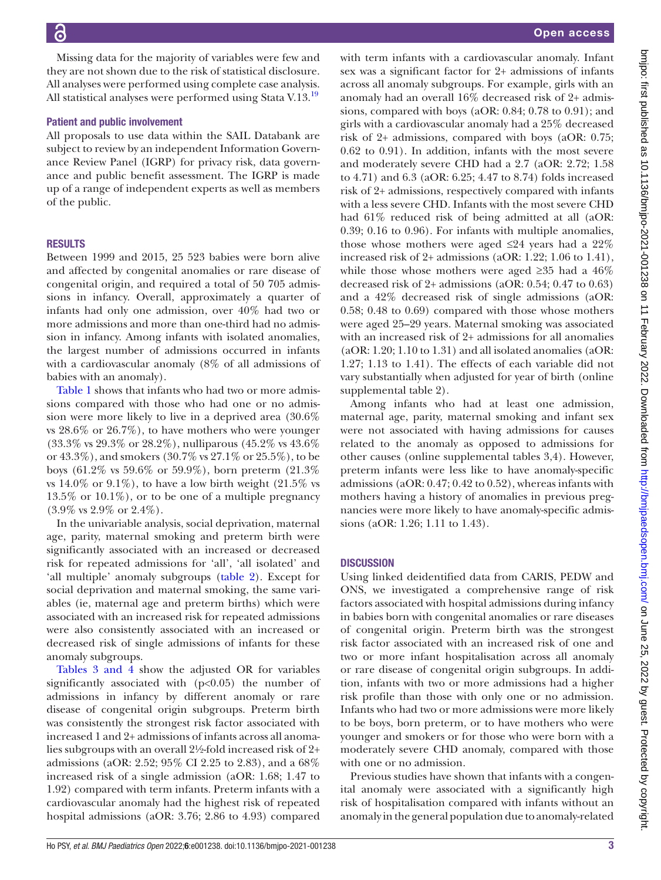Missing data for the majority of variables were few and they are not shown due to the risk of statistical disclosure. All analyses were performed using complete case analysis. All statistical analyses were performed using Stata V.13.<sup>19</sup>

#### Patient and public involvement

All proposals to use data within the SAIL Databank are subject to review by an independent Information Governance Review Panel (IGRP) for privacy risk, data governance and public benefit assessment. The IGRP is made up of a range of independent experts as well as members of the public.

# **RESULTS**

Between 1999 and 2015, 25 523 babies were born alive and affected by congenital anomalies or rare disease of congenital origin, and required a total of 50 705 admissions in infancy. Overall, approximately a quarter of infants had only one admission, over 40% had two or more admissions and more than one-third had no admission in infancy. Among infants with isolated anomalies, the largest number of admissions occurred in infants with a cardiovascular anomaly (8% of all admissions of babies with an anomaly).

[Table](#page-3-0) 1 shows that infants who had two or more admissions compared with those who had one or no admission were more likely to live in a deprived area (30.6% vs 28.6% or 26.7%), to have mothers who were younger (33.3% vs 29.3% or 28.2%), nulliparous (45.2% vs 43.6% or 43.3%), and smokers (30.7% vs 27.1% or 25.5%), to be boys (61.2% vs 59.6% or 59.9%), born preterm (21.3% vs  $14.0\%$  or  $9.1\%$ ), to have a low birth weight  $(21.5\%$  vs 13.5% or 10.1%), or to be one of a multiple pregnancy  $(3.9\% \text{ vs } 2.9\% \text{ or } 2.4\%).$ 

In the univariable analysis, social deprivation, maternal age, parity, maternal smoking and preterm birth were significantly associated with an increased or decreased risk for repeated admissions for 'all', 'all isolated' and 'all multiple' anomaly subgroups ([table](#page-4-0) 2). Except for social deprivation and maternal smoking, the same variables (ie, maternal age and preterm births) which were associated with an increased risk for repeated admissions were also consistently associated with an increased or decreased risk of single admissions of infants for these anomaly subgroups.

Tables [3 and 4](#page-5-0) show the adjusted OR for variables significantly associated with  $(p<0.05)$  the number of admissions in infancy by different anomaly or rare disease of congenital origin subgroups. Preterm birth was consistently the strongest risk factor associated with increased 1 and 2+ admissions of infants across all anomalies subgroups with an overall 2½-fold increased risk of 2+ admissions (aOR: 2.52; 95% CI 2.25 to 2.83), and a 68% increased risk of a single admission (aOR: 1.68; 1.47 to 1.92) compared with term infants. Preterm infants with a cardiovascular anomaly had the highest risk of repeated hospital admissions (aOR: 3.76; 2.86 to 4.93) compared

with term infants with a cardiovascular anomaly. Infant sex was a significant factor for 2+ admissions of infants across all anomaly subgroups. For example, girls with an anomaly had an overall 16% decreased risk of 2+ admissions, compared with boys (aOR: 0.84; 0.78 to 0.91); and girls with a cardiovascular anomaly had a 25% decreased risk of 2+ admissions, compared with boys (aOR: 0.75; 0.62 to 0.91). In addition, infants with the most severe and moderately severe CHD had a 2.7 (aOR: 2.72; 1.58 to 4.71) and 6.3 (aOR: 6.25; 4.47 to 8.74) folds increased risk of 2+ admissions, respectively compared with infants with a less severe CHD. Infants with the most severe CHD had 61% reduced risk of being admitted at all (aOR: 0.39; 0.16 to 0.96). For infants with multiple anomalies, those whose mothers were aged  $\leq 24$  years had a 22% increased risk of 2+ admissions (aOR: 1.22; 1.06 to 1.41), while those whose mothers were aged  $\geq 35$  had a 46% decreased risk of 2+ admissions (aOR: 0.54; 0.47 to 0.63) and a 42% decreased risk of single admissions (aOR: 0.58; 0.48 to 0.69) compared with those whose mothers were aged 25–29 years. Maternal smoking was associated with an increased risk of 2+ admissions for all anomalies (aOR: 1.20; 1.10 to 1.31) and all isolated anomalies (aOR: 1.27; 1.13 to 1.41). The effects of each variable did not vary substantially when adjusted for year of birth [\(online](https://dx.doi.org/10.1136/bmjpo-2021-001238) [supplemental table 2\)](https://dx.doi.org/10.1136/bmjpo-2021-001238).

Among infants who had at least one admission, maternal age, parity, maternal smoking and infant sex were not associated with having admissions for causes related to the anomaly as opposed to admissions for other causes ([online supplemental tables 3,4](https://dx.doi.org/10.1136/bmjpo-2021-001238)). However, preterm infants were less like to have anomaly-specific admissions (aOR: 0.47; 0.42 to 0.52), whereas infants with mothers having a history of anomalies in previous pregnancies were more likely to have anomaly-specific admissions (aOR: 1.26; 1.11 to 1.43).

# **DISCUSSION**

Using linked deidentified data from CARIS, PEDW and ONS, we investigated a comprehensive range of risk factors associated with hospital admissions during infancy in babies born with congenital anomalies or rare diseases of congenital origin. Preterm birth was the strongest risk factor associated with an increased risk of one and two or more infant hospitalisation across all anomaly or rare disease of congenital origin subgroups. In addition, infants with two or more admissions had a higher risk profile than those with only one or no admission. Infants who had two or more admissions were more likely to be boys, born preterm, or to have mothers who were younger and smokers or for those who were born with a moderately severe CHD anomaly, compared with those with one or no admission.

Previous studies have shown that infants with a congenital anomaly were associated with a significantly high risk of hospitalisation compared with infants without an anomaly in the general population due to anomaly-related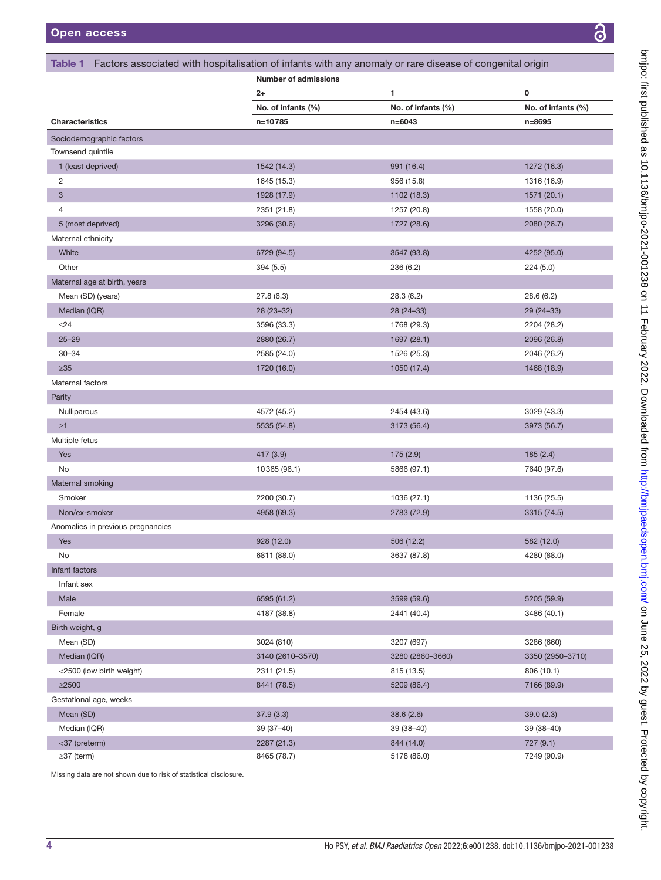<span id="page-3-0"></span>

|                                   | <b>Number of admissions</b> |                    |                    |
|-----------------------------------|-----------------------------|--------------------|--------------------|
|                                   | $2+$                        | 1                  | 0                  |
|                                   | No. of infants (%)          | No. of infants (%) | No. of infants (%) |
| <b>Characteristics</b>            | n=10785                     | $n = 6043$         | n=8695             |
| Sociodemographic factors          |                             |                    |                    |
| Townsend quintile                 |                             |                    |                    |
| 1 (least deprived)                | 1542 (14.3)                 | 991 (16.4)         | 1272 (16.3)        |
| 2                                 | 1645 (15.3)                 | 956 (15.8)         | 1316 (16.9)        |
| 3                                 | 1928 (17.9)                 | 1102 (18.3)        | 1571 (20.1)        |
| 4                                 | 2351 (21.8)                 | 1257 (20.8)        | 1558 (20.0)        |
| 5 (most deprived)                 | 3296 (30.6)                 | 1727 (28.6)        | 2080 (26.7)        |
| Maternal ethnicity                |                             |                    |                    |
| White                             | 6729 (94.5)                 | 3547 (93.8)        | 4252 (95.0)        |
| Other                             | 394 (5.5)                   | 236 (6.2)          | 224(5.0)           |
| Maternal age at birth, years      |                             |                    |                    |
| Mean (SD) (years)                 | 27.8(6.3)                   | 28.3(6.2)          | 28.6 (6.2)         |
| Median (IQR)                      | 28 (23-32)                  | 28 (24 - 33)       | $29(24-33)$        |
| $\leq$ 24                         | 3596 (33.3)                 | 1768 (29.3)        | 2204 (28.2)        |
| $25 - 29$                         | 2880 (26.7)                 | 1697 (28.1)        | 2096 (26.8)        |
| $30 - 34$                         | 2585 (24.0)                 | 1526 (25.3)        | 2046 (26.2)        |
| $\geq 35$                         | 1720 (16.0)                 | 1050 (17.4)        | 1468 (18.9)        |
| Maternal factors                  |                             |                    |                    |
| Parity                            |                             |                    |                    |
| Nulliparous                       | 4572 (45.2)                 | 2454 (43.6)        | 3029 (43.3)        |
| $\geq 1$                          | 5535 (54.8)                 | 3173 (56.4)        | 3973 (56.7)        |
| Multiple fetus                    |                             |                    |                    |
| Yes                               | 417 (3.9)                   | 175 (2.9)          | 185(2.4)           |
| No                                | 10365 (96.1)                | 5866 (97.1)        | 7640 (97.6)        |
| Maternal smoking                  |                             |                    |                    |
| Smoker                            | 2200 (30.7)                 | 1036 (27.1)        | 1136 (25.5)        |
| Non/ex-smoker                     | 4958 (69.3)                 | 2783 (72.9)        | 3315 (74.5)        |
| Anomalies in previous pregnancies |                             |                    |                    |
| Yes                               | 928(12.0)                   | 506 (12.2)         | 582 (12.0)         |
| No.                               | 6811 (88.0)                 | 3637 (87.8)        | 4280 (88.0)        |
| Infant factors                    |                             |                    |                    |
| Infant sex                        |                             |                    |                    |
| Male                              | 6595 (61.2)                 | 3599 (59.6)        | 5205 (59.9)        |
| Female                            | 4187 (38.8)                 | 2441 (40.4)        | 3486 (40.1)        |
| Birth weight, g                   |                             |                    |                    |
| Mean (SD)                         | 3024 (810)                  | 3207 (697)         | 3286 (660)         |
| Median (IQR)                      | 3140 (2610-3570)            | 3280 (2860-3660)   | 3350 (2950-3710)   |
| <2500 (low birth weight)          | 2311 (21.5)                 | 815 (13.5)         | 806 (10.1)         |
| $\geq$ 2500                       | 8441 (78.5)                 | 5209 (86.4)        | 7166 (89.9)        |
| Gestational age, weeks            |                             |                    |                    |
| Mean (SD)                         | 37.9(3.3)                   | 38.6(2.6)          | 39.0(2.3)          |
| Median (IQR)                      | 39 (37-40)                  | 39 (38-40)         | 39 (38-40)         |
| <37 (preterm)                     | 2287 (21.3)                 | 844 (14.0)         | 727(9.1)           |
| $\geq$ 37 (term)                  | 8465 (78.7)                 | 5178 (86.0)        | 7249 (90.9)        |

Missing data are not shown due to risk of statistical disclosure.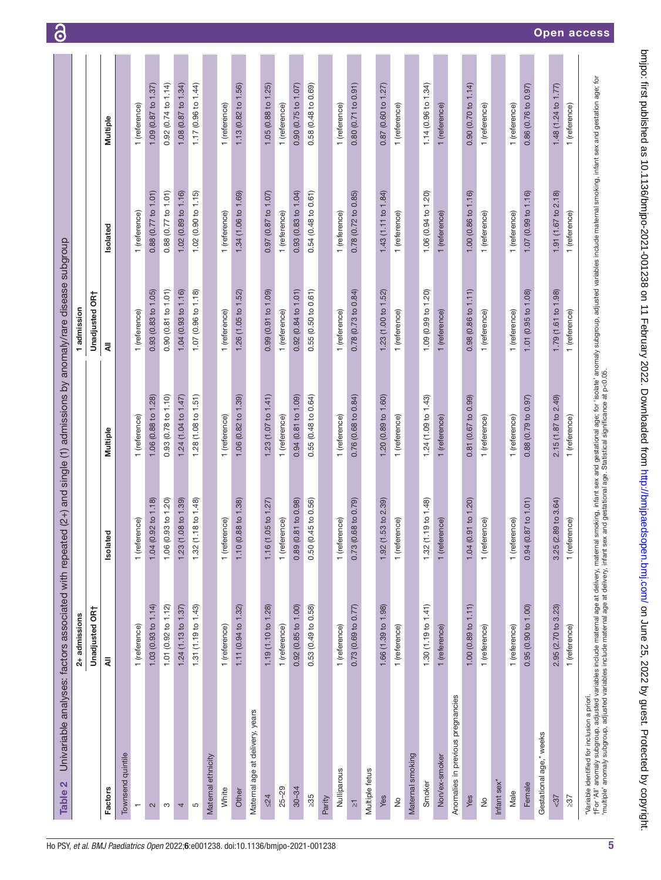<span id="page-4-0"></span>

| Townsend quintile<br>Factors      | 2+ admissions         |                                   |                                |                       |                                |                     |
|-----------------------------------|-----------------------|-----------------------------------|--------------------------------|-----------------------|--------------------------------|---------------------|
|                                   |                       |                                   |                                | 1 admission           |                                |                     |
|                                   | Unadjusted OR†        |                                   |                                | Unadjusted OR†        |                                |                     |
|                                   | ₹                     | Isolated                          | Multiple                       | ₹                     | Isolated                       | Multiple            |
|                                   |                       |                                   |                                |                       |                                |                     |
| $\overline{\phantom{0}}$          | 1 (reference)         | 1 (reference)                     | 1 (reference)                  | 1 (reference)         | 1 (reference)                  | 1 (reference)       |
| $\mathbf{\Omega}$                 | 1.03 $(0.93$ to 1.14) | $(0.92 \text{ to } 1.18)$<br>1.04 | 1.06 (0.88 to 1.28)            | 0.93(0.83 to 1.05)    | 0.88(0.77 to 1.01)             | 1.09 (0.87 to 1.37) |
| S                                 | 1.01 (0.92 to 1.12)   | (0.93 to 1.20)<br>1.06            | 0.93 (0.78 to 1.10)            | 0.90 (0.81 to 1.01)   | 0.88 (0.77 to 1.01)            | 0.92(0.74 to 1.14)  |
| 4                                 | 1.24 (1.13 to 1.37)   | 1.23 (1.08 to 1.39)               | 1.24 (1.04 to 1.47)            | 1.04 (0.93 to 1.16)   | 1.02 (0.89 to 1.16)            | 1.08(0.87 to 1.34)  |
| Ю                                 | 1.31 (1.19 to 1.43)   | (1.18 to 1.48)<br>1.32            | 1.28(1.08 to 1.51)             | 1.07 (0.96 to 1.18)   | 1.02 (0.90 to 1.15)            | 1.17 (0.96 to 1.44) |
| Maternal ethnicity                |                       |                                   |                                |                       |                                |                     |
| White                             | 1 (reference)         | 1 (reference)                     | 1 (reference)                  | 1 (reference)         | 1 (reference)                  | 1 (reference)       |
| Other                             | 1.11 (0.94 to 1.32)   | $(0.88 \text{ to } 1.38)$<br>1.10 | 1.06 (0.82 to 1.39)            | 1.26 (1.05 to 1.52)   | 1.34 (1.06 to 1.69)            | 1.13 (0.82 to 1.56) |
| Maternal age at delivery, years   |                       |                                   |                                |                       |                                |                     |
| $\leq$ 24                         | 1.19 (1.10 to 1.28)   | 1.16 (1.05 to 1.27)               | 1.23 $(1.07 \text{ to } 1.41)$ | 0.99 (0.91 to 1.09)   | 0.97 (0.87 to 1.07)            | 1.05 (0.88 to 1.25) |
| $25 - 29$                         | 1 (reference)         | 1 (reference)                     | 1 (reference)                  | 1 (reference)         | 1 (reference)                  | 1 (reference)       |
| $30 - 34$                         | 0.92(0.85 to 1.00)    | (0.81 to 0.98)<br>0.89            | 0.94 (0.81 to 1.09)            | 0.92(0.84 to 1.01)    | 0.93(0.83 to 1.04)             | 0.90 (0.75 to 1.07) |
| $\geq 35$                         | 0.53 (0.49 to 0.58)   | $(0.45 \text{ to } 0.56)$<br>0.50 | 0.55 (0.48 to 0.64)            | 0.55 (0.50 to 0.61)   | 0.54 (0.48 to 0.61)            | 0.58 (0.48 to 0.69) |
| Parity                            |                       |                                   |                                |                       |                                |                     |
| Nulliparous                       | 1 (reference)         | 1 (reference)                     | 1 (reference)                  | 1 (reference)         | 1 (reference)                  | 1 (reference)       |
| $\overline{\wedge}$               | 0.73 (0.69 to 0.77)   | $(0.68 \text{ to } 0.79)$<br>0.73 | 0.76 (0.68 to 0.84)            | 0.78(0.73 to 0.84)    | 0.78(0.72 to 0.85)             | 0.80(0.71 to 0.91)  |
| Multiple fetus                    |                       |                                   |                                |                       |                                |                     |
| Yes                               | 1.66 (1.39 to 1.98)   | 1.92 (1.53 to 2.39)               | 1.20 (0.89 to 1.60)            | 1.23(1.00 to 1.52)    | 1.43 $(1.11 \text{ to } 1.84)$ | 0.87(0.60 to 1.27)  |
| $\frac{1}{2}$                     | 1 (reference)         | 1 (reference)                     | 1 (reference)                  | 1 (reference)         | 1 (reference)                  | 1 (reference)       |
| Maternal smoking                  |                       |                                   |                                |                       |                                |                     |
| Smoker                            | 1.30 (1.19 to 1.41)   | (1.19 to 1.48)<br>1.32            | 1.24 (1.09 to 1.43)            | 1.09 (0.99 to 1.20)   | 1.06 (0.94 to 1.20)            | 1.14 (0.96 to 1.34) |
| Non/ex-smoker                     | 1 (reference)         | ference)<br>$1$ (re               | 1 (reference)                  | 1 (reference)         | 1 (reference)                  | 1 (reference)       |
| Anomalies in previous pregnancies |                       |                                   |                                |                       |                                |                     |
| Yes                               | 1.00(0.89 to 1.11)    | (0.91 to 1.20)<br>1.04            | 0.81 (0.67 to 0.99)            | $0.98$ (0.86 to 1.11) | 1.00 (0.86 to 1.16)            | 0.90(0.70 to 1.14)  |
| $\frac{1}{2}$                     | 1 (reference)         | 1 (reference)                     | 1 (reference)                  | 1 (reference)         | 1 (reference)                  | 1 (reference)       |
| Infant sex*                       |                       |                                   |                                |                       |                                |                     |
| Male                              | 1 (reference)         | 1 (reference)                     | 1 (reference)                  | 1 (reference)         | 1 (reference)                  | 1 (reference)       |
| Female                            | 0.95(0.90 to 1.00)    | (0.87 to 1.01)<br>0.94            | 0.88(0.79 to 0.97)             | 1.01 (0.95 to 1.08)   | 1.07 (0.99 to 1.16)            | 0.86 (0.76 to 0.97) |
| Gestational age,* weeks           |                       |                                   |                                |                       |                                |                     |
| $5 - 37$                          | 2.95 (2.70 to 3.23)   | $(2.89 \text{ to } 3.64)$<br>3.25 | 2.15 (1.87 to 2.49)            | 1.79 (1.61 to 1.98)   | 1.91 (1.67 to 2.18)            | 1.48 (1.24 to 1.77) |
| > 37                              | 1 (reference)         | 1 (reference)                     | 1 (reference)                  | (reference)           | (reference)<br>$\overline{ }$  | (reference)         |

 $\delta$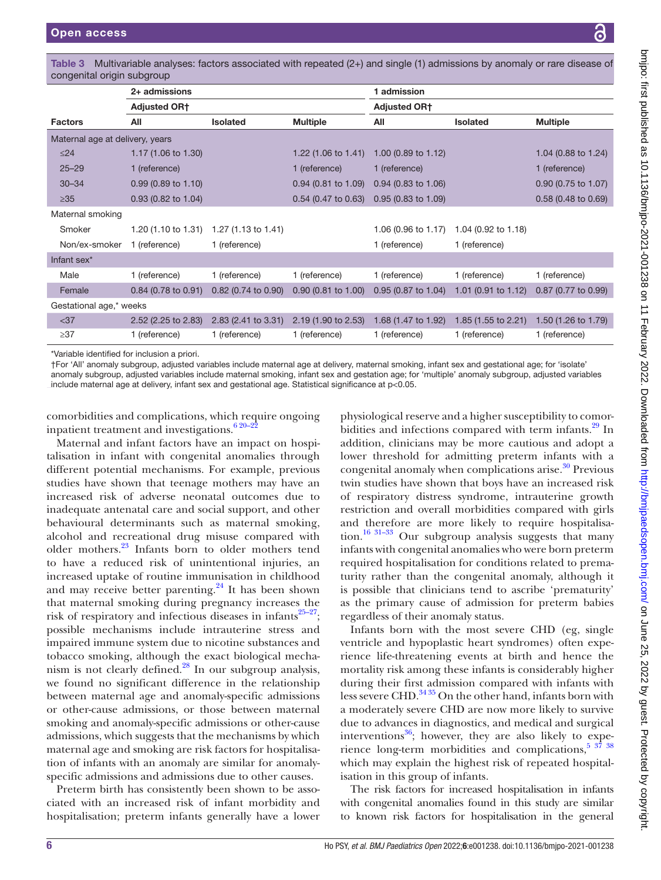| congenital origin subgroup                   |                                                                                                                                                   |                                                               |                                |                                |                     |                     |
|----------------------------------------------|---------------------------------------------------------------------------------------------------------------------------------------------------|---------------------------------------------------------------|--------------------------------|--------------------------------|---------------------|---------------------|
|                                              | 2+ admissions                                                                                                                                     |                                                               |                                | 1 admission                    |                     |                     |
|                                              | <b>Adjusted OR†</b>                                                                                                                               |                                                               |                                | <b>Adjusted OR†</b>            |                     |                     |
| <b>Factors</b>                               | All                                                                                                                                               | <b>Isolated</b>                                               | <b>Multiple</b>                | All                            | <b>Isolated</b>     | <b>Multiple</b>     |
| Maternal age at delivery, years              |                                                                                                                                                   |                                                               |                                |                                |                     |                     |
| $\leq$ 24                                    | 1.17 (1.06 to 1.30)                                                                                                                               |                                                               | 1.22 $(1.06 \text{ to } 1.41)$ | 1.00 $(0.89 \text{ to } 1.12)$ |                     | 1.04 (0.88 to 1.24) |
| $25 - 29$                                    | 1 (reference)                                                                                                                                     |                                                               | 1 (reference)                  | 1 (reference)                  |                     | 1 (reference)       |
| $30 - 34$                                    | $0.99$ (0.89 to 1.10)                                                                                                                             |                                                               | $0.94$ (0.81 to 1.09)          | $0.94$ (0.83 to 1.06)          |                     | 0.90 (0.75 to 1.07) |
| $\geq 35$                                    | $0.93$ (0.82 to 1.04)                                                                                                                             |                                                               | $0.54$ (0.47 to 0.63)          | $0.95(0.83 \text{ to } 1.09)$  |                     | 0.58 (0.48 to 0.69) |
| Maternal smoking                             |                                                                                                                                                   |                                                               |                                |                                |                     |                     |
| Smoker                                       |                                                                                                                                                   | 1.20 $(1.10 \text{ to } 1.31)$ 1.27 $(1.13 \text{ to } 1.41)$ |                                | 1.06 (0.96 to 1.17)            | 1.04 (0.92 to 1.18) |                     |
| Non/ex-smoker                                | 1 (reference)                                                                                                                                     | 1 (reference)                                                 |                                | 1 (reference)                  | 1 (reference)       |                     |
| Infant sex*                                  |                                                                                                                                                   |                                                               |                                |                                |                     |                     |
| Male                                         | 1 (reference)                                                                                                                                     | 1 (reference)                                                 | 1 (reference)                  | 1 (reference)                  | 1 (reference)       | 1 (reference)       |
| Female                                       | $0.84$ (0.78 to 0.91)                                                                                                                             | $0.82$ (0.74 to 0.90)                                         | $0.90$ (0.81 to 1.00)          | 0.95 (0.87 to 1.04)            | 1.01 (0.91 to 1.12) | 0.87 (0.77 to 0.99) |
| Gestational age,* weeks                      |                                                                                                                                                   |                                                               |                                |                                |                     |                     |
| $37$                                         | 2.52 (2.25 to 2.83)                                                                                                                               | 2.83 (2.41 to 3.31)                                           | 2.19 (1.90 to 2.53)            | 1.68 (1.47 to 1.92)            | 1.85 (1.55 to 2.21) | 1.50 (1.26 to 1.79) |
| $\geq$ 37                                    | 1 (reference)                                                                                                                                     | 1 (reference)                                                 | 1 (reference)                  | 1 (reference)                  | 1 (reference)       | 1 (reference)       |
| *Variable identified for inclusion a priori. | †For 'All' anomaly subgroup, adjusted variables include maternal age at delivery, maternal smoking, infant sex and gestational age; for 'isolate' |                                                               |                                |                                |                     |                     |

<span id="page-5-0"></span>Table 3 Multivariable analyses: factors associated with repeated (2+) and single (1) admissions by anomaly or rare disease of

†For 'All' anomaly subgroup, adjusted variables include maternal age at delivery, maternal smoking, infant sex and gestational age; for 'isolate' anomaly subgroup, adjusted variables include maternal smoking, infant sex and gestation age; for 'multiple' anomaly subgroup, adjusted variables include maternal age at delivery, infant sex and gestational age. Statistical significance at p<0.05.

comorbidities and complications, which require ongoing inpatient treatment and investigations. $6^{20-22}$ 

Maternal and infant factors have an impact on hospitalisation in infant with congenital anomalies through different potential mechanisms. For example, previous studies have shown that teenage mothers may have an increased risk of adverse neonatal outcomes due to inadequate antenatal care and social support, and other behavioural determinants such as maternal smoking, alcohol and recreational drug misuse compared with older mothers.[23](#page-8-4) Infants born to older mothers tend to have a reduced risk of unintentional injuries, an increased uptake of routine immunisation in childhood and may receive better parenting. $^{24}$  It has been shown that maternal smoking during pregnancy increases the risk of respiratory and infectious diseases in infants $25-27$ ; possible mechanisms include intrauterine stress and impaired immune system due to nicotine substances and tobacco smoking, although the exact biological mechanism is not clearly defined. $^{28}$  $^{28}$  $^{28}$  In our subgroup analysis, we found no significant difference in the relationship between maternal age and anomaly-specific admissions or other-cause admissions, or those between maternal smoking and anomaly-specific admissions or other-cause admissions, which suggests that the mechanisms by which maternal age and smoking are risk factors for hospitalisation of infants with an anomaly are similar for anomalyspecific admissions and admissions due to other causes.

Preterm birth has consistently been shown to be associated with an increased risk of infant morbidity and hospitalisation; preterm infants generally have a lower

physiological reserve and a higher susceptibility to comorbidities and infections compared with term infants.<sup>29</sup> In addition, clinicians may be more cautious and adopt a lower threshold for admitting preterm infants with a congenital anomaly when complications arise.<sup>30</sup> Previous twin studies have shown that boys have an increased risk of respiratory distress syndrome, intrauterine growth restriction and overall morbidities compared with girls and therefore are more likely to require hospitalisa-tion.<sup>[16 31–33](#page-8-10)</sup> Our subgroup analysis suggests that many infants with congenital anomalies who were born preterm required hospitalisation for conditions related to prematurity rather than the congenital anomaly, although it is possible that clinicians tend to ascribe 'prematurity' as the primary cause of admission for preterm babies regardless of their anomaly status.

Infants born with the most severe CHD (eg, single ventricle and hypoplastic heart syndromes) often experience life-threatening events at birth and hence the mortality risk among these infants is considerably higher during their first admission compared with infants with less severe CHD. $3435$  On the other hand, infants born with a moderately severe CHD are now more likely to survive due to advances in diagnostics, and medical and surgical interventions<sup>[36](#page-8-12)</sup>; however, they are also likely to experience long-term morbidities and complications,  $5\frac{37}{38}$ which may explain the highest risk of repeated hospitalisation in this group of infants.

The risk factors for increased hospitalisation in infants with congenital anomalies found in this study are similar to known risk factors for hospitalisation in the general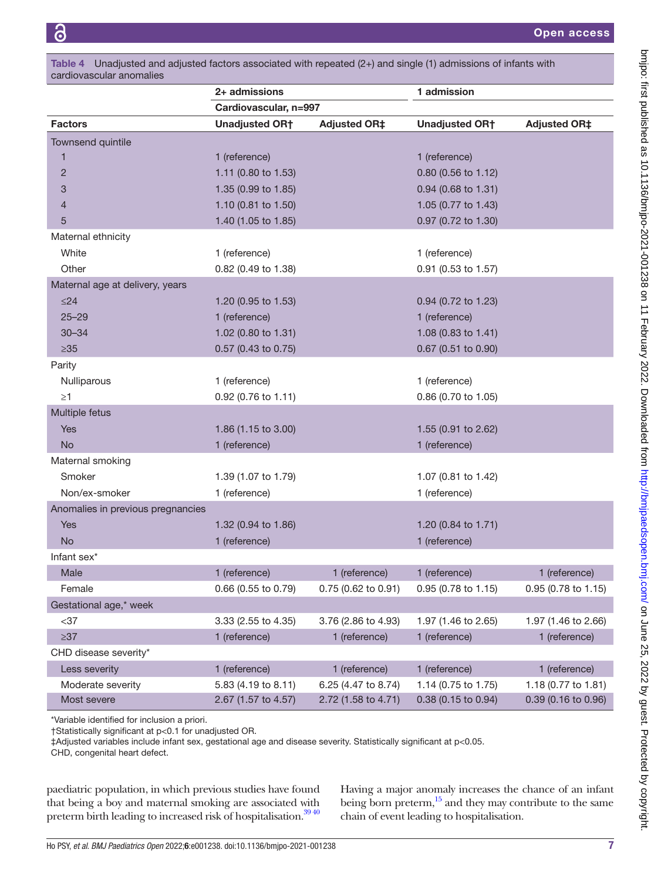| Table 4 Unadjusted and adjusted factors associated with repeated $(2+)$ and single (1) admissions of infants with<br>cardiovascular anomalies |                       |                     |                       |                     |  |  |
|-----------------------------------------------------------------------------------------------------------------------------------------------|-----------------------|---------------------|-----------------------|---------------------|--|--|
|                                                                                                                                               | 2+ admissions         |                     | 1 admission           |                     |  |  |
|                                                                                                                                               | Cardiovascular, n=997 |                     |                       |                     |  |  |
| <b>Factors</b>                                                                                                                                | <b>Unadjusted OR†</b> | <b>Adjusted OR‡</b> | <b>Unadjusted OR†</b> | <b>Adjusted OR‡</b> |  |  |
| Townsend quintile                                                                                                                             |                       |                     |                       |                     |  |  |
| 1                                                                                                                                             | 1 (reference)         |                     | 1 (reference)         |                     |  |  |
| $\overline{2}$                                                                                                                                | 1.11 (0.80 to 1.53)   |                     | 0.80 (0.56 to 1.12)   |                     |  |  |
| 3                                                                                                                                             | 1.35 (0.99 to 1.85)   |                     | 0.94 (0.68 to 1.31)   |                     |  |  |
| 4                                                                                                                                             | 1.10 (0.81 to 1.50)   |                     | 1.05 (0.77 to 1.43)   |                     |  |  |
| 5                                                                                                                                             | 1.40 (1.05 to 1.85)   |                     | 0.97 (0.72 to 1.30)   |                     |  |  |
| Maternal ethnicity                                                                                                                            |                       |                     |                       |                     |  |  |
| White                                                                                                                                         | 1 (reference)         |                     | 1 (reference)         |                     |  |  |
| Other                                                                                                                                         | 0.82 (0.49 to 1.38)   |                     | 0.91 (0.53 to 1.57)   |                     |  |  |
| Maternal age at delivery, years                                                                                                               |                       |                     |                       |                     |  |  |
| $\leq$ 24                                                                                                                                     | 1.20 (0.95 to 1.53)   |                     | 0.94 (0.72 to 1.23)   |                     |  |  |
| $25 - 29$                                                                                                                                     | 1 (reference)         |                     | 1 (reference)         |                     |  |  |
| $30 - 34$                                                                                                                                     | 1.02 (0.80 to 1.31)   |                     | 1.08 (0.83 to 1.41)   |                     |  |  |
| $\geq 35$                                                                                                                                     | 0.57 (0.43 to 0.75)   |                     | $0.67$ (0.51 to 0.90) |                     |  |  |
| Parity                                                                                                                                        |                       |                     |                       |                     |  |  |
| Nulliparous                                                                                                                                   | 1 (reference)         |                     | 1 (reference)         |                     |  |  |
| $\geq$ 1                                                                                                                                      | 0.92 (0.76 to 1.11)   |                     | 0.86 (0.70 to 1.05)   |                     |  |  |
| Multiple fetus                                                                                                                                |                       |                     |                       |                     |  |  |
| <b>Yes</b>                                                                                                                                    | 1.86 (1.15 to 3.00)   |                     | 1.55 (0.91 to 2.62)   |                     |  |  |
| <b>No</b>                                                                                                                                     | 1 (reference)         |                     | 1 (reference)         |                     |  |  |
| Maternal smoking                                                                                                                              |                       |                     |                       |                     |  |  |
| Smoker                                                                                                                                        | 1.39 (1.07 to 1.79)   |                     | 1.07 (0.81 to 1.42)   |                     |  |  |
| Non/ex-smoker                                                                                                                                 | 1 (reference)         |                     | 1 (reference)         |                     |  |  |
| Anomalies in previous pregnancies                                                                                                             |                       |                     |                       |                     |  |  |
| <b>Yes</b>                                                                                                                                    | 1.32 (0.94 to 1.86)   |                     | 1.20 (0.84 to 1.71)   |                     |  |  |
| <b>No</b>                                                                                                                                     | 1 (reference)         |                     | 1 (reference)         |                     |  |  |
| Infant sex <sup>*</sup>                                                                                                                       |                       |                     |                       |                     |  |  |
| Male                                                                                                                                          | 1 (reference)         | 1 (reference)       | 1 (reference)         | 1 (reference)       |  |  |
| Female                                                                                                                                        | 0.66 (0.55 to 0.79)   | 0.75 (0.62 to 0.91) | 0.95 (0.78 to 1.15)   | 0.95 (0.78 to 1.15) |  |  |
| Gestational age,* week                                                                                                                        |                       |                     |                       |                     |  |  |
| $37$                                                                                                                                          | 3.33 (2.55 to 4.35)   | 3.76 (2.86 to 4.93) | 1.97 (1.46 to 2.65)   | 1.97 (1.46 to 2.66) |  |  |
| $\geq 37$                                                                                                                                     | 1 (reference)         | 1 (reference)       | 1 (reference)         | 1 (reference)       |  |  |
| CHD disease severity*                                                                                                                         |                       |                     |                       |                     |  |  |
| Less severity                                                                                                                                 | 1 (reference)         | 1 (reference)       | 1 (reference)         | 1 (reference)       |  |  |
| Moderate severity                                                                                                                             | 5.83 (4.19 to 8.11)   | 6.25 (4.47 to 8.74) | 1.14 (0.75 to 1.75)   | 1.18 (0.77 to 1.81) |  |  |
| Most severe                                                                                                                                   | 2.67 (1.57 to 4.57)   | 2.72 (1.58 to 4.71) | 0.38 (0.15 to 0.94)   | 0.39 (0.16 to 0.96) |  |  |

\*Variable identified for inclusion a priori.

†Statistically significant at p<0.1 for unadjusted OR.

‡Adjusted variables include infant sex, gestational age and disease severity. Statistically significant at p<0.05.

CHD, congenital heart defect.

paediatric population, in which previous studies have found that being a boy and maternal smoking are associated with preterm birth leading to increased risk of hospitalisation.<sup>3940</sup>

Having a major anomaly increases the chance of an infant being born preterm, $15$  and they may contribute to the same chain of event leading to hospitalisation.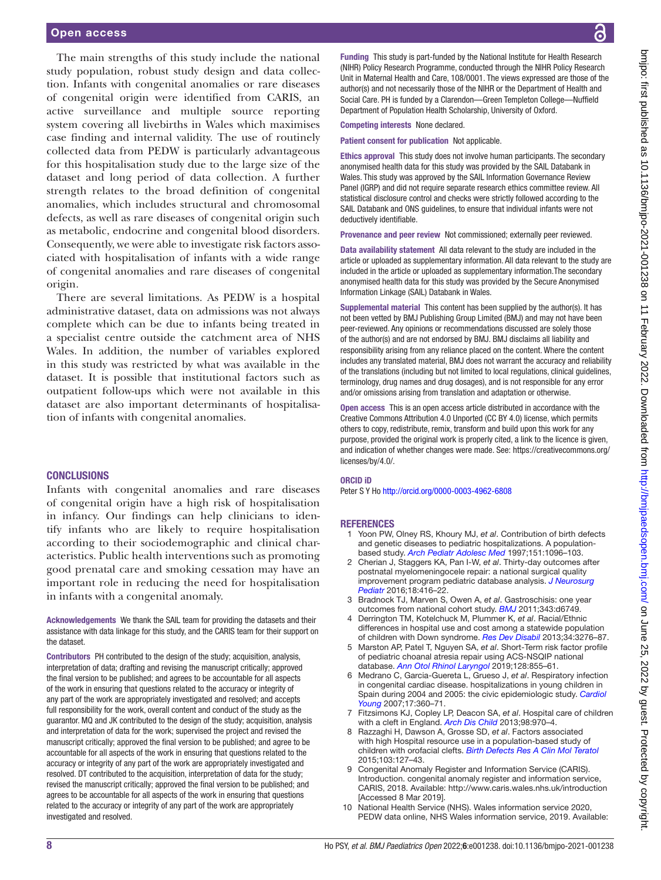The main strengths of this study include the national study population, robust study design and data collection. Infants with congenital anomalies or rare diseases of congenital origin were identified from CARIS, an active surveillance and multiple source reporting system covering all livebirths in Wales which maximises case finding and internal validity. The use of routinely collected data from PEDW is particularly advantageous for this hospitalisation study due to the large size of the dataset and long period of data collection. A further strength relates to the broad definition of congenital anomalies, which includes structural and chromosomal defects, as well as rare diseases of congenital origin such as metabolic, endocrine and congenital blood disorders. Consequently, we were able to investigate risk factors associated with hospitalisation of infants with a wide range of congenital anomalies and rare diseases of congenital origin.

There are several limitations. As PEDW is a hospital administrative dataset, data on admissions was not always complete which can be due to infants being treated in a specialist centre outside the catchment area of NHS Wales. In addition, the number of variables explored in this study was restricted by what was available in the dataset. It is possible that institutional factors such as outpatient follow-ups which were not available in this dataset are also important determinants of hospitalisation of infants with congenital anomalies.

#### **CONCLUSIONS**

Infants with congenital anomalies and rare diseases of congenital origin have a high risk of hospitalisation in infancy. Our findings can help clinicians to identify infants who are likely to require hospitalisation according to their sociodemographic and clinical characteristics. Public health interventions such as promoting good prenatal care and smoking cessation may have an important role in reducing the need for hospitalisation in infants with a congenital anomaly.

Acknowledgements We thank the SAIL team for providing the datasets and their assistance with data linkage for this study, and the CARIS team for their support on the dataset.

Contributors PH contributed to the design of the study; acquisition, analysis, interpretation of data; drafting and revising the manuscript critically; approved the final version to be published; and agrees to be accountable for all aspects of the work in ensuring that questions related to the accuracy or integrity of any part of the work are appropriately investigated and resolved; and accepts full responsibility for the work, overall content and conduct of the study as the guarantor. MQ and JK contributed to the design of the study; acquisition, analysis and interpretation of data for the work; supervised the project and revised the manuscript critically; approved the final version to be published; and agree to be accountable for all aspects of the work in ensuring that questions related to the accuracy or integrity of any part of the work are appropriately investigated and resolved. DT contributed to the acquisition, interpretation of data for the study; revised the manuscript critically; approved the final version to be published; and agrees to be accountable for all aspects of the work in ensuring that questions related to the accuracy or integrity of any part of the work are appropriately investigated and resolved.

Funding This study is part-funded by the National Institute for Health Research (NIHR) Policy Research Programme, conducted through the NIHR Policy Research Unit in Maternal Health and Care, 108/0001. The views expressed are those of the author(s) and not necessarily those of the NIHR or the Department of Health and Social Care. PH is funded by a Clarendon—Green Templeton College—Nuffield Department of Population Health Scholarship, University of Oxford.

Competing interests None declared.

Patient consent for publication Not applicable.

Ethics approval This study does not involve human participants. The secondary anonymised health data for this study was provided by the SAIL Databank in Wales. This study was approved by the SAIL Information Governance Review Panel (IGRP) and did not require separate research ethics committee review. All statistical disclosure control and checks were strictly followed according to the SAIL Databank and ONS guidelines, to ensure that individual infants were not deductively identifiable.

Provenance and peer review Not commissioned; externally peer reviewed.

Data availability statement All data relevant to the study are included in the article or uploaded as supplementary information. All data relevant to the study are included in the article or uploaded as supplementary information.The secondary anonymised health data for this study was provided by the Secure Anonymised Information Linkage (SAIL) Databank in Wales.

Supplemental material This content has been supplied by the author(s). It has not been vetted by BMJ Publishing Group Limited (BMJ) and may not have been peer-reviewed. Any opinions or recommendations discussed are solely those of the author(s) and are not endorsed by BMJ. BMJ disclaims all liability and responsibility arising from any reliance placed on the content. Where the content includes any translated material, BMJ does not warrant the accuracy and reliability of the translations (including but not limited to local regulations, clinical guidelines, terminology, drug names and drug dosages), and is not responsible for any error and/or omissions arising from translation and adaptation or otherwise.

Open access This is an open access article distributed in accordance with the Creative Commons Attribution 4.0 Unported (CC BY 4.0) license, which permits others to copy, redistribute, remix, transform and build upon this work for any purpose, provided the original work is properly cited, a link to the licence is given, and indication of whether changes were made. See: [https://creativecommons.org/](https://creativecommons.org/licenses/by/4.0/) [licenses/by/4.0/](https://creativecommons.org/licenses/by/4.0/).

#### ORCID iD

Peter S Y Ho<http://orcid.org/0000-0003-4962-6808>

#### **REFERENCES**

- 1 Yoon PW, Olney RS, Khoury MJ, *et al*. Contribution of birth defects and genetic diseases to pediatric hospitalizations. A populationbased study. *[Arch Pediatr Adolesc Med](http://dx.doi.org/10.1001/archpedi.1997.02170480026004)* 1997;151:1096–103.
- <span id="page-7-0"></span>2 Cherian J, Staggers KA, Pan I-W, *et al*. Thirty-day outcomes after postnatal myelomeningocele repair: a national surgical quality improvement program pediatric database analysis. *[J Neurosurg](http://dx.doi.org/10.3171/2016.1.PEDS15674)  [Pediatr](http://dx.doi.org/10.3171/2016.1.PEDS15674)* 2016;18:416–22.
- 3 Bradnock TJ, Marven S, Owen A, *et al*. Gastroschisis: one year outcomes from national cohort study. *[BMJ](http://dx.doi.org/10.1136/bmj.d6749)* 2011;343:d6749.
- 4 Derrington TM, Kotelchuck M, Plummer K, *et al*. Racial/Ethnic differences in hospital use and cost among a statewide population of children with Down syndrome. *[Res Dev Disabil](http://dx.doi.org/10.1016/j.ridd.2013.06.022)* 2013;34:3276–87.
- <span id="page-7-2"></span>5 Marston AP, Patel T, Nguyen SA, *et al*. Short-Term risk factor profile of pediatric choanal atresia repair using ACS-NSQIP national database. *[Ann Otol Rhinol Laryngol](http://dx.doi.org/10.1177/0003489419848457)* 2019;128:855–61.
- <span id="page-7-3"></span>6 Medrano C, Garcia-Guereta L, Grueso J, *et al*. Respiratory infection in congenital cardiac disease. hospitalizations in young children in Spain during 2004 and 2005: the civic epidemiologic study. *[Cardiol](http://dx.doi.org/10.1017/S104795110700042X)  [Young](http://dx.doi.org/10.1017/S104795110700042X)* 2007;17:360–71.
- 7 Fitzsimons KJ, Copley LP, Deacon SA, *et al*. Hospital care of children with a cleft in England. *[Arch Dis Child](http://dx.doi.org/10.1136/archdischild-2013-304271)* 2013;98:970–4.
- 8 Razzaghi H, Dawson A, Grosse SD, *et al*. Factors associated with high Hospital resource use in a population-based study of children with orofacial clefts. *[Birth Defects Res A Clin Mol Teratol](http://dx.doi.org/10.1002/bdra.23356)* 2015;103:127–43.
- <span id="page-7-1"></span>9 Congenital Anomaly Register and Information Service (CARIS). Introduction. congenital anomaly register and information service, CARIS, 2018. Available:<http://www.caris.wales.nhs.uk/introduction> [Accessed 8 Mar 2019].
- 10 National Health Service (NHS). Wales information service 2020, PEDW data online, NHS Wales information service, 2019. Available: